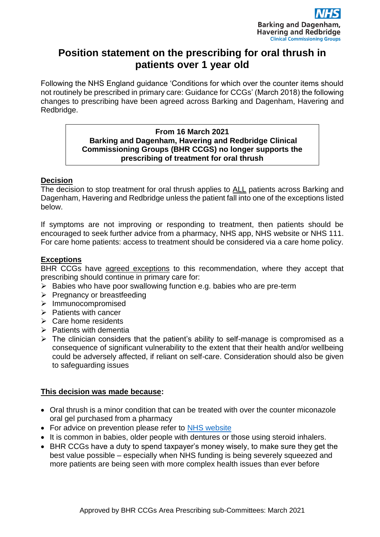

# **Position statement on the prescribing for oral thrush in patients over 1 year old**

Following the NHS England guidance 'Conditions for which over the counter items should not routinely be prescribed in primary care: Guidance for CCGs' (March 2018) the following changes to prescribing have been agreed across Barking and Dagenham, Havering and Redbridge.

#### **From 16 March 2021 Barking and Dagenham, Havering and Redbridge Clinical Commissioning Groups (BHR CCGS) no longer supports the prescribing of treatment for oral thrush**

### **Decision**

The decision to stop treatment for oral thrush applies to ALL patients across Barking and Dagenham, Havering and Redbridge unless the patient fall into one of the exceptions listed below.

If symptoms are not improving or responding to treatment, then patients should be encouraged to seek further advice from a pharmacy, NHS app, NHS website or NHS 111. For care home patients: access to treatment should be considered via a care home policy.

### **Exceptions**

BHR CCGs have agreed exceptions to this recommendation, where they accept that prescribing should continue in primary care for:

- ➢ Babies who have poor swallowing function e.g. babies who are pre-term
- ➢ Pregnancy or breastfeeding
- ➢ Immunocompromised
- ➢ Patients with cancer
- ➢ Care home residents
- $\triangleright$  Patients with dementia
- $\triangleright$  The clinician considers that the patient's ability to self-manage is compromised as a consequence of significant vulnerability to the extent that their health and/or wellbeing could be adversely affected, if reliant on self-care. Consideration should also be given to safeguarding issues

## **This decision was made because:**

- Oral thrush is a minor condition that can be treated with over the counter miconazole oral gel purchased from a pharmacy
- For advice on prevention please refer to [NHS website](https://www.nhs.uk/conditions/oral-thrush-mouth-thrush/)
- It is common in babies, older people with dentures or those using steroid inhalers.
- BHR CCGs have a duty to spend taxpayer's money wisely, to make sure they get the best value possible – especially when NHS funding is being severely squeezed and more patients are being seen with more complex health issues than ever before